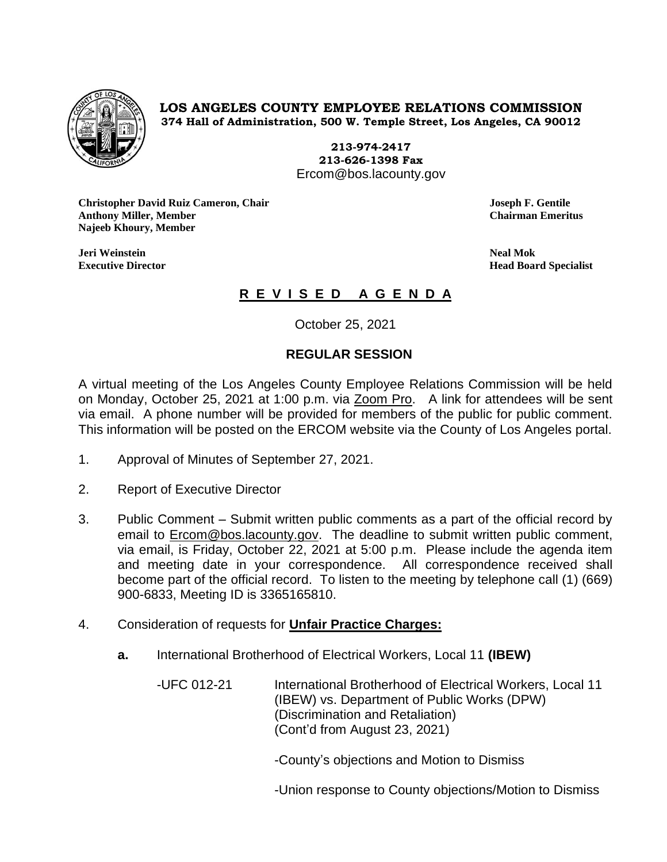

## **LOS ANGELES COUNTY EMPLOYEE RELATIONS COMMISSION 374 Hall of Administration, 500 W. Temple Street, Los Angeles, CA 90012**

**213-974-2417 213-626-1398 Fax** Ercom@bos.lacounty.gov

**Christopher David Ruiz Cameron, Chair Joseph F. Gentile Anthony Miller, Member Najeeb Khoury, Member**

**Jeri Weinstein Neal Mok**

**Executive Director Head Board Specialist**

## **R E V I S E D A G E N D A**

October 25, 2021

## **REGULAR SESSION**

A virtual meeting of the Los Angeles County Employee Relations Commission will be held on Monday, October 25, 2021 at 1:00 p.m. via Zoom Pro. A link for attendees will be sent via email. A phone number will be provided for members of the public for public comment. This information will be posted on the ERCOM website via the County of Los Angeles portal.

- 1. Approval of Minutes of September 27, 2021.
- 2. Report of Executive Director
- 3. Public Comment Submit written public comments as a part of the official record by email to [Ercom@bos.lacounty.gov.](mailto:Ercom@bos.lacounty.gov) The deadline to submit written public comment, via email, is Friday, October 22, 2021 at 5:00 p.m. Please include the agenda item and meeting date in your correspondence. All correspondence received shall become part of the official record. To listen to the meeting by telephone call (1) (669) 900-6833, Meeting ID is 3365165810.
- 4. Consideration of requests for **Unfair Practice Charges:**
	- **a.** International Brotherhood of Electrical Workers, Local 11 **(IBEW)**

-UFC 012-21 International Brotherhood of Electrical Workers, Local 11 (IBEW) vs. Department of Public Works (DPW) (Discrimination and Retaliation) (Cont'd from August 23, 2021)

-County's objections and Motion to Dismiss

-Union response to County objections/Motion to Dismiss